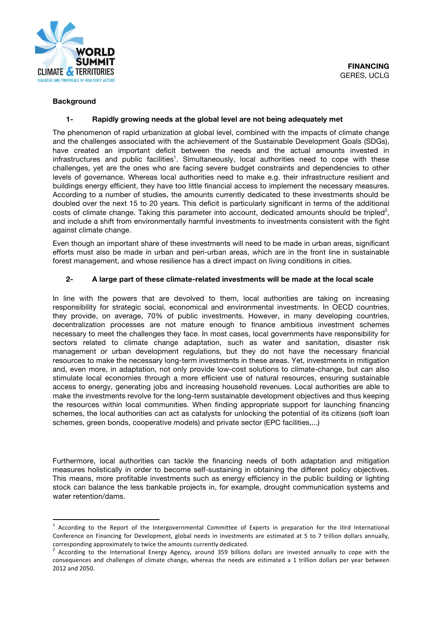

#### **Background**

### **1- Rapidly growing needs at the global level are not being adequately met**

The phenomenon of rapid urbanization at global level, combined with the impacts of climate change and the challenges associated with the achievement of the Sustainable Development Goals (SDGs), have created an important deficit between the needs and the actual amounts invested in infrastructures and public facilities<sup>1</sup>. Simultaneously, local authorities need to cope with these challenges, yet are the ones who are facing severe budget constraints and dependencies to other levels of governance. Whereas local authorities need to make e.g. their infrastructure resilient and buildings energy efficient, they have too little financial access to implement the necessary measures. According to a number of studies, the amounts currently dedicated to these investments should be doubled over the next 15 to 20 years. This deficit is particularly significant in terms of the additional costs of climate change. Taking this parameter into account, dedicated amounts should be tripled<sup>2</sup>, and include a shift from environmentally harmful investments to investments consistent with the fight against climate change.

Even though an important share of these investments will need to be made in urban areas, significant efforts must also be made in urban and peri-urban areas, which are in the front line in sustainable forest management, and whose resilience has a direct impact on living conditions in cities.

#### **2- A large part of these climate-related investments will be made at the local scale**

In line with the powers that are devolved to them, local authorities are taking on increasing responsibility for strategic social, economical and environmental investments. In OECD countries, they provide, on average, 70% of public investments. However, in many developing countries, decentralization processes are not mature enough to finance ambitious investment schemes necessary to meet the challenges they face. In most cases, local governments have responsibility for sectors related to climate change adaptation, such as water and sanitation, disaster risk management or urban development regulations, but they do not have the necessary financial resources to make the necessary long-term investments in these areas. Yet, investments in mitigation and, even more, in adaptation, not only provide low-cost solutions to climate-change, but can also stimulate local economies through a more efficient use of natural resources, ensuring sustainable access to energy, generating jobs and increasing household revenues. Local authorities are able to make the investments revolve for the long-term sustainable development objectives and thus keeping the resources within local communities. When finding appropriate support for launching financing schemes, the local authorities can act as catalysts for unlocking the potential of its citizens (soft loan schemes, green bonds, cooperative models) and private sector (EPC facilities,...)

Furthermore, local authorities can tackle the financing needs of both adaptation and mitigation measures holistically in order to become self-sustaining in obtaining the different policy objectives. This means, more profitable investments such as energy efficiency in the public building or lighting stock can balance the less bankable projects in, for example, drought communication systems and water retention/dams.

 $1$  According to the Report of the Intergovernmental Committee of Experts in preparation for the IIIrd International Conference on Financing for Development, global needs in investments are estimated at 5 to 7 trillion dollars annually, corresponding approximately to twice the amounts currently dedicated.

<sup>&</sup>lt;sup>2</sup> According to the International Energy Agency, around 359 billions dollars are invested annually to cope with the consequences and challenges of climate change, whereas the needs are estimated a 1 trillion dollars per year between 2012 and 2050.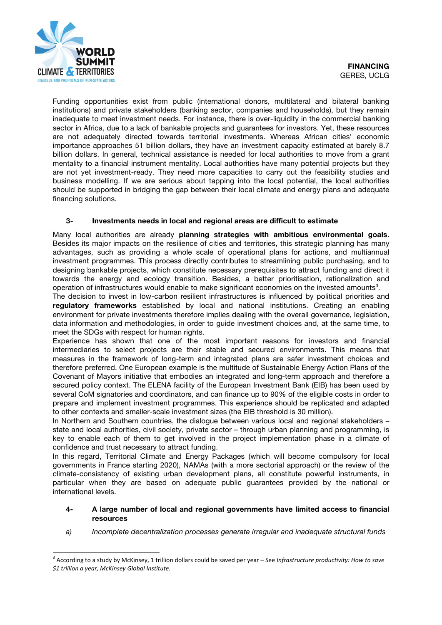

Funding opportunities exist from public (international donors, multilateral and bilateral banking institutions) and private stakeholders (banking sector, companies and households), but they remain inadequate to meet investment needs. For instance, there is over-liquidity in the commercial banking sector in Africa, due to a lack of bankable projects and guarantees for investors. Yet, these resources are not adequately directed towards territorial investments. Whereas African cities' economic importance approaches 51 billion dollars, they have an investment capacity estimated at barely 8.7 billion dollars. In general, technical assistance is needed for local authorities to move from a grant mentality to a financial instrument mentality. Local authorities have many potential projects but they are not yet investment-ready. They need more capacities to carry out the feasibility studies and business modelling. If we are serious about tapping into the local potential, the local authorities should be supported in bridging the gap between their local climate and energy plans and adequate financing solutions.

# **3- Investments needs in local and regional areas are difficult to estimate**

Many local authorities are already **planning strategies with ambitious environmental goals**. Besides its major impacts on the resilience of cities and territories, this strategic planning has many advantages, such as providing a whole scale of operational plans for actions, and multiannual investment programmes. This process directly contributes to streamlining public purchasing, and to designing bankable projects, which constitute necessary prerequisites to attract funding and direct it towards the energy and ecology transition. Besides, a better prioritisation, rationalization and operation of infrastructures would enable to make significant economies on the invested amounts<sup>3</sup>.

The decision to invest in low-carbon resilient infrastructures is influenced by political priorities and **regulatory frameworks** established by local and national institutions. Creating an enabling environment for private investments therefore implies dealing with the overall governance, legislation, data information and methodologies, in order to guide investment choices and, at the same time, to meet the SDGs with respect for human rights.

Experience has shown that one of the most important reasons for investors and financial intermediaries to select projects are their stable and secured environments. This means that measures in the framework of long-term and integrated plans are safer investment choices and therefore preferred. One European example is the multitude of Sustainable Energy Action Plans of the Covenant of Mayors initiative that embodies an integrated and long-term approach and therefore a secured policy context. The ELENA facility of the European Investment Bank (EIB) has been used by several CoM signatories and coordinators, and can finance up to 90% of the eligible costs in order to prepare and implement investment programmes. This experience should be replicated and adapted to other contexts and smaller-scale investment sizes (the EIB threshold is 30 million).

In Northern and Southern countries, the dialogue between various local and regional stakeholders – state and local authorities, civil society, private sector – through urban planning and programming, is key to enable each of them to get involved in the project implementation phase in a climate of confidence and trust necessary to attract funding.

In this regard, Territorial Climate and Energy Packages (which will become compulsory for local governments in France starting 2020), NAMAs (with a more sectorial approach) or the review of the climate-consistency of existing urban development plans, all constitute powerful instruments, in particular when they are based on adequate public guarantees provided by the national or international levels.

#### **4- A large number of local and regional governments have limited access to financial resources**

*a) Incomplete decentralization processes generate irregular and inadequate structural funds*

<sup>&</sup>lt;sup>3</sup> According to a study by McKinsey, 1 trillion dollars could be saved per year – See Infrastructure productivity: How to save *\$1 trillion a year, McKinsey Global Institute.*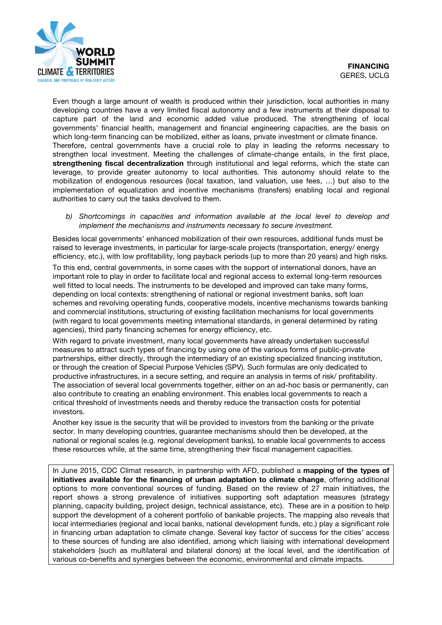

Even though a large amount of wealth is produced within their jurisdiction, local authorities in many developing countries have a very limited fiscal autonomy and a few instruments at their disposal to capture part of the land and economic added value produced. The strengthening of local governments' financial health, management and financial engineering capacities, are the basis on which long-term financing can be mobilized, either as loans, private investment or climate finance. Therefore, central governments have a crucial role to play in leading the reforms necessary to strengthen local investment. Meeting the challenges of climate-change entails, in the first place, **strengthening fiscal decentralization** through institutional and legal reforms, which the state can leverage, to provide greater autonomy to local authorities. This autonomy should relate to the mobilization of endogenous resources (local taxation, land valuation, use fees, …) but also to the implementation of equalization and incentive mechanisms (transfers) enabling local and regional authorities to carry out the tasks devolved to them.

*b) Shortcomings in capacities and information available at the local level to develop and implement the mechanisms and instruments necessary to secure investment.* 

Besides local governments' enhanced mobilization of their own resources, additional funds must be raised to leverage investments, in particular for large-scale projects (transportation, energy/ energy efficiency, etc.), with low profitability, long payback periods (up to more than 20 years) and high risks.

To this end, central governments, in some cases with the support of international donors, have an important role to play in order to facilitate local and regional access to external long-term resources well fitted to local needs. The instruments to be developed and improved can take many forms, depending on local contexts: strengthening of national or regional investment banks, soft loan schemes and revolving operating funds, cooperative models, incentive mechanisms towards banking and commercial institutions, structuring of existing facilitation mechanisms for local governments (with regard to local governments meeting international standards, in general determined by rating agencies), third party financing schemes for energy efficiency, etc.

With regard to private investment, many local governments have already undertaken successful measures to attract such types of financing by using one of the various forms of public-private partnerships, either directly, through the intermediary of an existing specialized financing institution, or through the creation of Special Purpose Vehicles (SPV). Such formulas are only dedicated to productive infrastructures, in a secure setting, and require an analysis in terms of risk/ profitability. The association of several local governments together, either on an ad-hoc basis or permanently, can also contribute to creating an enabling environment. This enables local governments to reach a critical threshold of investments needs and thereby reduce the transaction costs for potential investors.

Another key issue is the security that will be provided to investors from the banking or the private sector. In many developing countries, guarantee mechanisms should then be developed, at the national or regional scales (e.g. regional development banks), to enable local governments to access these resources while, at the same time, strengthening their fiscal management capacities.

In June 2015, CDC Climat research, in partnership with AFD, published a **mapping of the types of initiatives available for the financing of urban adaptation to climate change**, offering additional options to more conventional sources of funding. Based on the review of 27 main initiatives, the report shows a strong prevalence of initiatives supporting soft adaptation measures (strategy planning, capacity building, project design, technical assistance, etc). These are in a position to help support the development of a coherent portfolio of bankable projects. The mapping also reveals that local intermediaries (regional and local banks, national development funds, etc.) play a significant role in financing urban adaptation to climate change. Several key factor of success for the cities' access to these sources of funding are also identified, among which liaising with international development stakeholders (such as multilateral and bilateral donors) at the local level, and the identification of various co-benefits and synergies between the economic, environmental and climate impacts.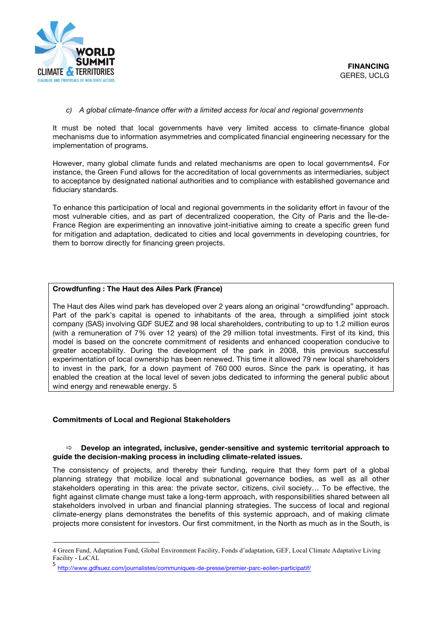

# *c) A global climate-finance offer with a limited access for local and regional governments*

It must be noted that local governments have very limited access to climate-finance global mechanisms due to information asymmetries and complicated financial engineering necessary for the implementation of programs.

However, many global climate funds and related mechanisms are open to local governments4. For instance, the Green Fund allows for the accreditation of local governments as intermediaries, subject to acceptance by designated national authorities and to compliance with established governance and fiduciary standards.

To enhance this participation of local and regional governments in the solidarity effort in favour of the most vulnerable cities, and as part of decentralized cooperation, the City of Paris and the Île-de-France Region are experimenting an innovative joint-initiative aiming to create a specific green fund for mitigation and adaptation, dedicated to cities and local governments in developing countries, for them to borrow directly for financing green projects.

# **Crowdfunfing : The Haut des Ailes Park (France)**

The Haut des Ailes wind park has developed over 2 years along an original "crowdfunding" approach. Part of the park's capital is opened to inhabitants of the area, through a simplified joint stock company (SAS) involving GDF SUEZ and 98 local shareholders, contributing to up to 1.2 million euros (with a remuneration of 7% over 12 years) of the 29 million total investments. First of its kind, this model is based on the concrete commitment of residents and enhanced cooperation conducive to greater acceptability. During the development of the park in 2008, this previous successful experimentation of local ownership has been renewed. This time it allowed 79 new local shareholders to invest in the park, for a down payment of 760 000 euros. Since the park is operating, it has enabled the creation at the local level of seven jobs dedicated to informing the general public about wind energy and renewable energy. 5

# **Commitments of Local and Regional Stakeholders**

<u> 1989 - Jan Samuel Barbara, margaret e</u>

# ð **Develop an integrated, inclusive, gender-sensitive and systemic territorial approach to guide the decision-making process in including climate-related issues.**

The consistency of projects, and thereby their funding, require that they form part of a global planning strategy that mobilize local and subnational governance bodies, as well as all other stakeholders operating in this area: the private sector, citizens, civil society… To be effective, the fight against climate change must take a long-term approach, with responsibilities shared between all stakeholders involved in urban and financial planning strategies. The success of local and regional climate-energy plans demonstrates the benefits of this systemic approach, and of making climate projects more consistent for investors. Our first commitment, in the North as much as in the South, is

<sup>4</sup> Green Fund, Adaptation Fund, Global Environment Facility, Fonds d'adaptation, GEF, Local Climate Adaptative Living Facility - LoCAL

<sup>5</sup> http://www.gdfsuez.com/journalistes/communiques-de-presse/premier-parc-eolien-participatif/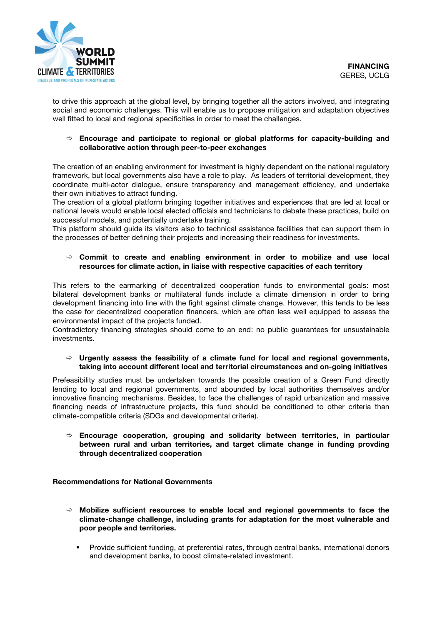to drive this approach at the global level, by bringing together all the actors involved, and integrating social and economic challenges. This will enable us to propose mitigation and adaptation objectives well fitted to local and regional specificities in order to meet the challenges.

# ð **Encourage and participate to regional or global platforms for capacity-building and collaborative action through peer-to-peer exchanges**

The creation of an enabling environment for investment is highly dependent on the national regulatory framework, but local governments also have a role to play. As leaders of territorial development, they coordinate multi-actor dialogue, ensure transparency and management efficiency, and undertake their own initiatives to attract funding.

The creation of a global platform bringing together initiatives and experiences that are led at local or national levels would enable local elected officials and technicians to debate these practices, build on successful models, and potentially undertake training.

This platform should guide its visitors also to technical assistance facilities that can support them in the processes of better defining their projects and increasing their readiness for investments.

### ð **Commit to create and enabling environment in order to mobilize and use local resources for climate action, in liaise with respective capacities of each territory**

This refers to the earmarking of decentralized cooperation funds to environmental goals: most bilateral development banks or multilateral funds include a climate dimension in order to bring development financing into line with the fight against climate change. However, this tends to be less the case for decentralized cooperation financers, which are often less well equipped to assess the environmental impact of the projects funded.

Contradictory financing strategies should come to an end: no public guarantees for unsustainable investments.

#### $\Rightarrow$  Urgently assess the feasibility of a climate fund for local and regional governments, **taking into account different local and territorial circumstances and on-going initiatives**

Prefeasibility studies must be undertaken towards the possible creation of a Green Fund directly lending to local and regional governments, and abounded by local authorities themselves and/or innovative financing mechanisms. Besides, to face the challenges of rapid urbanization and massive financing needs of infrastructure projects, this fund should be conditioned to other criteria than climate-compatible criteria (SDGs and developmental criteria).

ð **Encourage cooperation, grouping and solidarity between territories, in particular between rural and urban territories, and target climate change in funding provding through decentralized cooperation**

# **Recommendations for National Governments**

- ð **Mobilize sufficient resources to enable local and regional governments to face the climate-change challenge, including grants for adaptation for the most vulnerable and poor people and territories.** 
	- § Provide sufficient funding, at preferential rates, through central banks, international donors and development banks, to boost climate-related investment.